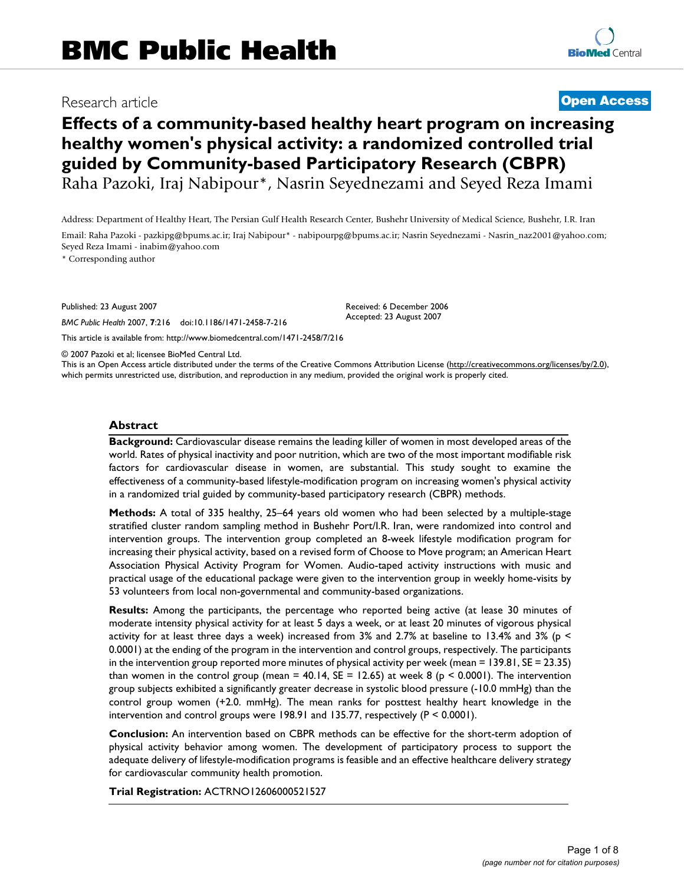# Research article **[Open Access](http://www.biomedcentral.com/info/about/charter/)**

# **Effects of a community-based healthy heart program on increasing healthy women's physical activity: a randomized controlled trial guided by Community-based Participatory Research (CBPR)** Raha Pazoki, Iraj Nabipour\*, Nasrin Seyednezami and Seyed Reza Imami

Address: Department of Healthy Heart, The Persian Gulf Health Research Center, Bushehr University of Medical Science, Bushehr, I.R. Iran

Email: Raha Pazoki - pazkipg@bpums.ac.ir; Iraj Nabipour\* - nabipourpg@bpums.ac.ir; Nasrin Seyednezami - Nasrin\_naz2001@yahoo.com; Seyed Reza Imami - inabim@yahoo.com

\* Corresponding author

Published: 23 August 2007

*BMC Public Health* 2007, **7**:216 doi:10.1186/1471-2458-7-216

[This article is available from: http://www.biomedcentral.com/1471-2458/7/216](http://www.biomedcentral.com/1471-2458/7/216)

© 2007 Pazoki et al; licensee BioMed Central Ltd. This is an Open Access article distributed under the terms of the Creative Commons Attribution License [\(http://creativecommons.org/licenses/by/2.0\)](http://creativecommons.org/licenses/by/2.0), which permits unrestricted use, distribution, and reproduction in any medium, provided the original work is properly cited.

Received: 6 December 2006 Accepted: 23 August 2007

#### **Abstract**

**Background:** Cardiovascular disease remains the leading killer of women in most developed areas of the world. Rates of physical inactivity and poor nutrition, which are two of the most important modifiable risk factors for cardiovascular disease in women, are substantial. This study sought to examine the effectiveness of a community-based lifestyle-modification program on increasing women's physical activity in a randomized trial guided by community-based participatory research (CBPR) methods.

**Methods:** A total of 335 healthy, 25–64 years old women who had been selected by a multiple-stage stratified cluster random sampling method in Bushehr Port/I.R. Iran, were randomized into control and intervention groups. The intervention group completed an 8-week lifestyle modification program for increasing their physical activity, based on a revised form of Choose to Move program; an American Heart Association Physical Activity Program for Women. Audio-taped activity instructions with music and practical usage of the educational package were given to the intervention group in weekly home-visits by 53 volunteers from local non-governmental and community-based organizations.

**Results:** Among the participants, the percentage who reported being active (at lease 30 minutes of moderate intensity physical activity for at least 5 days a week, or at least 20 minutes of vigorous physical activity for at least three days a week) increased from 3% and 2.7% at baseline to 13.4% and 3% (p  $\le$ 0.0001) at the ending of the program in the intervention and control groups, respectively. The participants in the intervention group reported more minutes of physical activity per week (mean =  $139.81$ , SE = 23.35) than women in the control group (mean = 40.14,  $SE = 12.65$ ) at week 8 (p < 0.0001). The intervention group subjects exhibited a significantly greater decrease in systolic blood pressure (-10.0 mmHg) than the control group women (+2.0. mmHg). The mean ranks for posttest healthy heart knowledge in the intervention and control groups were 198.91 and 135.77, respectively (P < 0.0001).

**Conclusion:** An intervention based on CBPR methods can be effective for the short-term adoption of physical activity behavior among women. The development of participatory process to support the adequate delivery of lifestyle-modification programs is feasible and an effective healthcare delivery strategy for cardiovascular community health promotion.

**Trial Registration:** ACTRNO12606000521527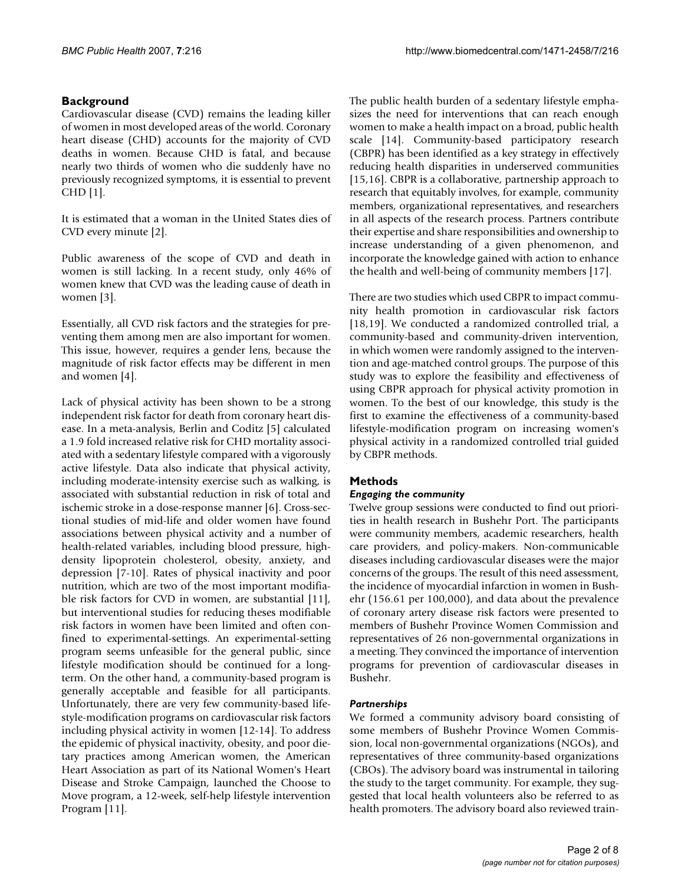# **Background**

Cardiovascular disease (CVD) remains the leading killer of women in most developed areas of the world. Coronary heart disease (CHD) accounts for the majority of CVD deaths in women. Because CHD is fatal, and because nearly two thirds of women who die suddenly have no previously recognized symptoms, it is essential to prevent CHD [1].

It is estimated that a woman in the United States dies of CVD every minute [2].

Public awareness of the scope of CVD and death in women is still lacking. In a recent study, only 46% of women knew that CVD was the leading cause of death in women [3].

Essentially, all CVD risk factors and the strategies for preventing them among men are also important for women. This issue, however, requires a gender lens, because the magnitude of risk factor effects may be different in men and women [4].

Lack of physical activity has been shown to be a strong independent risk factor for death from coronary heart disease. In a meta-analysis, Berlin and Coditz [5] calculated a 1.9 fold increased relative risk for CHD mortality associated with a sedentary lifestyle compared with a vigorously active lifestyle. Data also indicate that physical activity, including moderate-intensity exercise such as walking, is associated with substantial reduction in risk of total and ischemic stroke in a dose-response manner [6]. Cross-sectional studies of mid-life and older women have found associations between physical activity and a number of health-related variables, including blood pressure, highdensity lipoprotein cholesterol, obesity, anxiety, and depression [7-10]. Rates of physical inactivity and poor nutrition, which are two of the most important modifiable risk factors for CVD in women, are substantial [11], but interventional studies for reducing theses modifiable risk factors in women have been limited and often confined to experimental-settings. An experimental-setting program seems unfeasible for the general public, since lifestyle modification should be continued for a longterm. On the other hand, a community-based program is generally acceptable and feasible for all participants. Unfortunately, there are very few community-based lifestyle-modification programs on cardiovascular risk factors including physical activity in women [12-14]. To address the epidemic of physical inactivity, obesity, and poor dietary practices among American women, the American Heart Association as part of its National Women's Heart Disease and Stroke Campaign, launched the Choose to Move program, a 12-week, self-help lifestyle intervention Program [11].

The public health burden of a sedentary lifestyle emphasizes the need for interventions that can reach enough women to make a health impact on a broad, public health scale [14]. Community-based participatory research (CBPR) has been identified as a key strategy in effectively reducing health disparities in underserved communities [15,16]. CBPR is a collaborative, partnership approach to research that equitably involves, for example, community members, organizational representatives, and researchers in all aspects of the research process. Partners contribute their expertise and share responsibilities and ownership to increase understanding of a given phenomenon, and incorporate the knowledge gained with action to enhance the health and well-being of community members [17].

There are two studies which used CBPR to impact community health promotion in cardiovascular risk factors [18,19]. We conducted a randomized controlled trial, a community-based and community-driven intervention, in which women were randomly assigned to the intervention and age-matched control groups. The purpose of this study was to explore the feasibility and effectiveness of using CBPR approach for physical activity promotion in women. To the best of our knowledge, this study is the first to examine the effectiveness of a community-based lifestyle-modification program on increasing women's physical activity in a randomized controlled trial guided by CBPR methods.

# **Methods**

# *Engaging the community*

Twelve group sessions were conducted to find out priorities in health research in Bushehr Port. The participants were community members, academic researchers, health care providers, and policy-makers. Non-communicable diseases including cardiovascular diseases were the major concerns of the groups. The result of this need assessment, the incidence of myocardial infarction in women in Bushehr (156.61 per 100,000), and data about the prevalence of coronary artery disease risk factors were presented to members of Bushehr Province Women Commission and representatives of 26 non-governmental organizations in a meeting. They convinced the importance of intervention programs for prevention of cardiovascular diseases in Bushehr.

# *Partnerships*

We formed a community advisory board consisting of some members of Bushehr Province Women Commission, local non-governmental organizations (NGOs), and representatives of three community-based organizations (CBOs). The advisory board was instrumental in tailoring the study to the target community. For example, they suggested that local health volunteers also be referred to as health promoters. The advisory board also reviewed train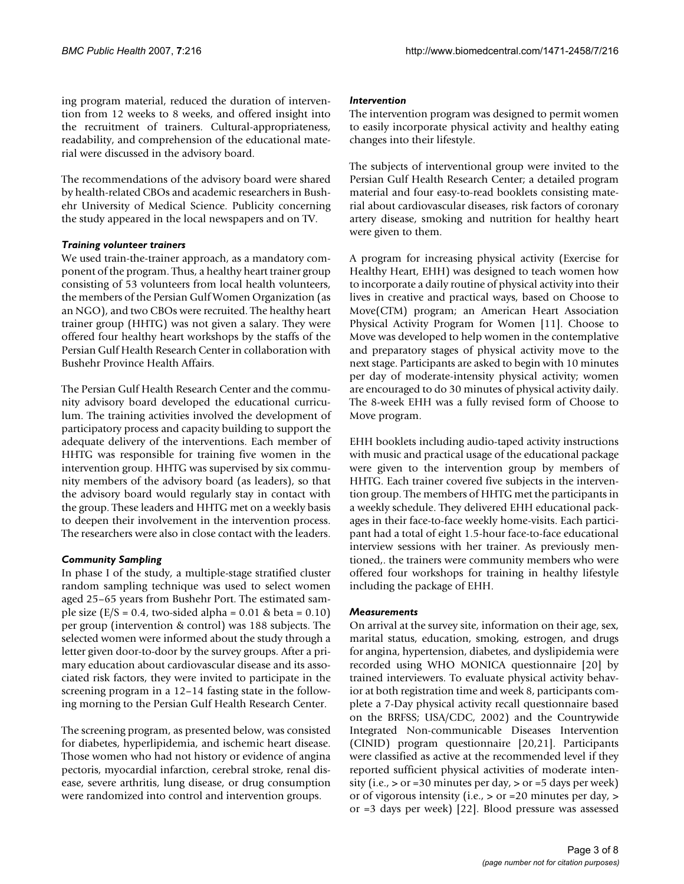ing program material, reduced the duration of intervention from 12 weeks to 8 weeks, and offered insight into the recruitment of trainers. Cultural-appropriateness, readability, and comprehension of the educational material were discussed in the advisory board.

The recommendations of the advisory board were shared by health-related CBOs and academic researchers in Bushehr University of Medical Science. Publicity concerning the study appeared in the local newspapers and on TV.

## *Training volunteer trainers*

We used train-the-trainer approach, as a mandatory component of the program. Thus, a healthy heart trainer group consisting of 53 volunteers from local health volunteers, the members of the Persian Gulf Women Organization (as an NGO), and two CBOs were recruited. The healthy heart trainer group (HHTG) was not given a salary. They were offered four healthy heart workshops by the staffs of the Persian Gulf Health Research Center in collaboration with Bushehr Province Health Affairs.

The Persian Gulf Health Research Center and the community advisory board developed the educational curriculum. The training activities involved the development of participatory process and capacity building to support the adequate delivery of the interventions. Each member of HHTG was responsible for training five women in the intervention group. HHTG was supervised by six community members of the advisory board (as leaders), so that the advisory board would regularly stay in contact with the group. These leaders and HHTG met on a weekly basis to deepen their involvement in the intervention process. The researchers were also in close contact with the leaders.

# *Community Sampling*

In phase I of the study, a multiple-stage stratified cluster random sampling technique was used to select women aged 25–65 years from Bushehr Port. The estimated sample size ( $E/S = 0.4$ , two-sided alpha = 0.01 & beta = 0.10) per group (intervention & control) was 188 subjects. The selected women were informed about the study through a letter given door-to-door by the survey groups. After a primary education about cardiovascular disease and its associated risk factors, they were invited to participate in the screening program in a 12–14 fasting state in the following morning to the Persian Gulf Health Research Center.

The screening program, as presented below, was consisted for diabetes, hyperlipidemia, and ischemic heart disease. Those women who had not history or evidence of angina pectoris, myocardial infarction, cerebral stroke, renal disease, severe arthritis, lung disease, or drug consumption were randomized into control and intervention groups.

#### *Intervention*

The intervention program was designed to permit women to easily incorporate physical activity and healthy eating changes into their lifestyle.

The subjects of interventional group were invited to the Persian Gulf Health Research Center; a detailed program material and four easy-to-read booklets consisting material about cardiovascular diseases, risk factors of coronary artery disease, smoking and nutrition for healthy heart were given to them.

A program for increasing physical activity (Exercise for Healthy Heart, EHH) was designed to teach women how to incorporate a daily routine of physical activity into their lives in creative and practical ways, based on Choose to Move(CTM) program; an American Heart Association Physical Activity Program for Women [11]. Choose to Move was developed to help women in the contemplative and preparatory stages of physical activity move to the next stage. Participants are asked to begin with 10 minutes per day of moderate-intensity physical activity; women are encouraged to do 30 minutes of physical activity daily. The 8-week EHH was a fully revised form of Choose to Move program.

EHH booklets including audio-taped activity instructions with music and practical usage of the educational package were given to the intervention group by members of HHTG. Each trainer covered five subjects in the intervention group. The members of HHTG met the participants in a weekly schedule. They delivered EHH educational packages in their face-to-face weekly home-visits. Each participant had a total of eight 1.5-hour face-to-face educational interview sessions with her trainer. As previously mentioned,. the trainers were community members who were offered four workshops for training in healthy lifestyle including the package of EHH.

#### *Measurements*

On arrival at the survey site, information on their age, sex, marital status, education, smoking, estrogen, and drugs for angina, hypertension, diabetes, and dyslipidemia were recorded using WHO MONICA questionnaire [20] by trained interviewers. To evaluate physical activity behavior at both registration time and week 8, participants complete a 7-Day physical activity recall questionnaire based on the BRFSS; USA/CDC, 2002) and the Countrywide Integrated Non-communicable Diseases Intervention (CINID) program questionnaire [20,21]. Participants were classified as active at the recommended level if they reported sufficient physical activities of moderate intensity (i.e.,  $>$  or =30 minutes per day,  $>$  or =5 days per week) or of vigorous intensity (i.e., > or =20 minutes per day, > or =3 days per week) [22]. Blood pressure was assessed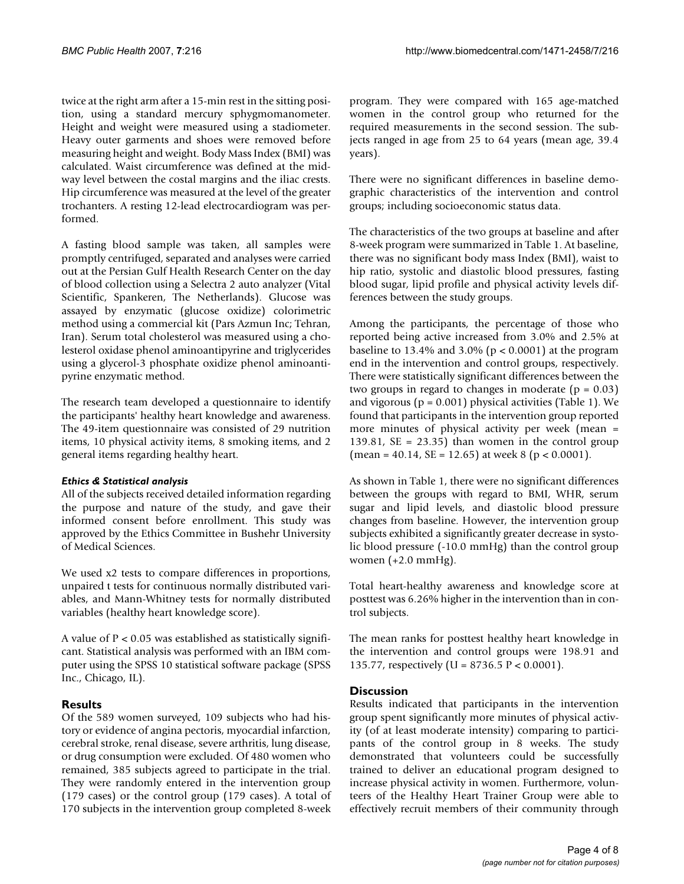twice at the right arm after a 15-min rest in the sitting position, using a standard mercury sphygmomanometer. Height and weight were measured using a stadiometer. Heavy outer garments and shoes were removed before measuring height and weight. Body Mass Index (BMI) was calculated. Waist circumference was defined at the midway level between the costal margins and the iliac crests. Hip circumference was measured at the level of the greater trochanters. A resting 12-lead electrocardiogram was performed.

A fasting blood sample was taken, all samples were promptly centrifuged, separated and analyses were carried out at the Persian Gulf Health Research Center on the day of blood collection using a Selectra 2 auto analyzer (Vital Scientific, Spankeren, The Netherlands). Glucose was assayed by enzymatic (glucose oxidize) colorimetric method using a commercial kit (Pars Azmun Inc; Tehran, Iran). Serum total cholesterol was measured using a cholesterol oxidase phenol aminoantipyrine and triglycerides using a glycerol-3 phosphate oxidize phenol aminoantipyrine enzymatic method.

The research team developed a questionnaire to identify the participants' healthy heart knowledge and awareness. The 49-item questionnaire was consisted of 29 nutrition items, 10 physical activity items, 8 smoking items, and 2 general items regarding healthy heart.

# *Ethics & Statistical analysis*

All of the subjects received detailed information regarding the purpose and nature of the study, and gave their informed consent before enrollment. This study was approved by the Ethics Committee in Bushehr University of Medical Sciences.

We used x2 tests to compare differences in proportions, unpaired t tests for continuous normally distributed variables, and Mann-Whitney tests for normally distributed variables (healthy heart knowledge score).

A value of P < 0.05 was established as statistically significant. Statistical analysis was performed with an IBM computer using the SPSS 10 statistical software package (SPSS Inc., Chicago, IL).

# **Results**

Of the 589 women surveyed, 109 subjects who had history or evidence of angina pectoris, myocardial infarction, cerebral stroke, renal disease, severe arthritis, lung disease, or drug consumption were excluded. Of 480 women who remained, 385 subjects agreed to participate in the trial. They were randomly entered in the intervention group (179 cases) or the control group (179 cases). A total of 170 subjects in the intervention group completed 8-week program. They were compared with 165 age-matched women in the control group who returned for the required measurements in the second session. The subjects ranged in age from 25 to 64 years (mean age, 39.4 years).

There were no significant differences in baseline demographic characteristics of the intervention and control groups; including socioeconomic status data.

The characteristics of the two groups at baseline and after 8-week program were summarized in Table 1. At baseline, there was no significant body mass Index (BMI), waist to hip ratio, systolic and diastolic blood pressures, fasting blood sugar, lipid profile and physical activity levels differences between the study groups.

Among the participants, the percentage of those who reported being active increased from 3.0% and 2.5% at baseline to 13.4% and 3.0% ( $p < 0.0001$ ) at the program end in the intervention and control groups, respectively. There were statistically significant differences between the two groups in regard to changes in moderate  $(p = 0.03)$ and vigorous ( $p = 0.001$ ) physical activities (Table 1). We found that participants in the intervention group reported more minutes of physical activity per week (mean = 139.81,  $SE = 23.35$ ) than women in the control group  $(\text{mean} = 40.14, \text{SE} = 12.65)$  at week 8 (p < 0.0001).

As shown in Table 1, there were no significant differences between the groups with regard to BMI, WHR, serum sugar and lipid levels, and diastolic blood pressure changes from baseline. However, the intervention group subjects exhibited a significantly greater decrease in systolic blood pressure (-10.0 mmHg) than the control group women  $(+2.0 \text{ mmHg})$ .

Total heart-healthy awareness and knowledge score at posttest was 6.26% higher in the intervention than in control subjects.

The mean ranks for posttest healthy heart knowledge in the intervention and control groups were 198.91 and 135.77, respectively (U = 8736.5 P < 0.0001).

# **Discussion**

Results indicated that participants in the intervention group spent significantly more minutes of physical activity (of at least moderate intensity) comparing to participants of the control group in 8 weeks. The study demonstrated that volunteers could be successfully trained to deliver an educational program designed to increase physical activity in women. Furthermore, volunteers of the Healthy Heart Trainer Group were able to effectively recruit members of their community through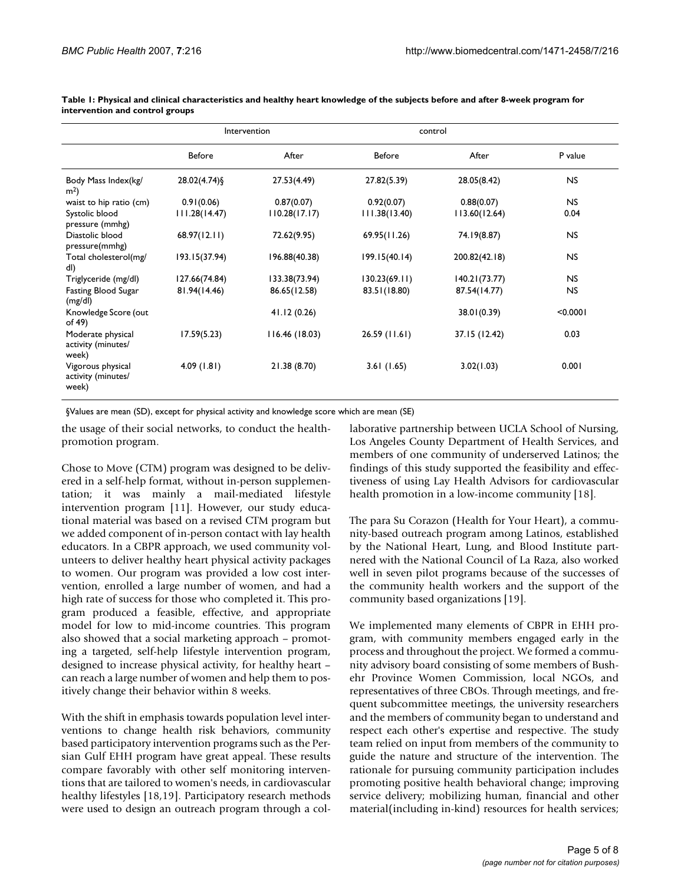|                                                  | Intervention  |               | control         |               |                |
|--------------------------------------------------|---------------|---------------|-----------------|---------------|----------------|
|                                                  | <b>Before</b> | After         | Before          | After         | P value        |
| Body Mass Index(kg/<br>m <sup>2</sup>            | 28.02(4.74)   | 27.53(4.49)   | 27.82(5.39)     | 28.05(8.42)   | N <sub>S</sub> |
| waist to hip ratio (cm)                          | 0.91(0.06)    | 0.87(0.07)    | 0.92(0.07)      | 0.88(0.07)    | NS.            |
| Systolic blood<br>pressure (mmhg)                | 111.28(14.47) | 110.28(17.17) | 111.38(13.40)   | 113.60(12.64) | 0.04           |
| Diastolic blood<br>pressure(mmhg)                | 68.97(12.11)  | 72.62(9.95)   | 69.95(11.26)    | 74.19(8.87)   | <b>NS</b>      |
| Total cholesterol(mg/<br>dl)                     | 193.15(37.94) | 196.88(40.38) | 199.15(40.14)   | 200.82(42.18) | NS.            |
| Triglyceride (mg/dl)                             | 127.66(74.84) | 133.38(73.94) | 130.23(69.11)   | 140.21(73.77) | <b>NS</b>      |
| Fasting Blood Sugar<br>(mg/dl)                   | 81.94(14.46)  | 86.65(12.58)  | 83.51(18.80)    | 87.54(14.77)  | <b>NS</b>      |
| Knowledge Score (out<br>of 49)                   |               | 41.12(0.26)   |                 | 38.01(0.39)   | < 0.0001       |
| Moderate physical<br>activity (minutes/<br>week) | 17.59(5.23)   | 116.46(18.03) | $26.59$ (11.61) | 37.15 (12.42) | 0.03           |
| Vigorous physical<br>activity (minutes/<br>week) | 4.09(1.81)    | 21.38 (8.70)  | 3.61(1.65)      | 3.02(1.03)    | 0.001          |

**Table 1: Physical and clinical characteristics and healthy heart knowledge of the subjects before and after 8-week program for intervention and control groups**

§Values are mean (SD), except for physical activity and knowledge score which are mean (SE)

the usage of their social networks, to conduct the healthpromotion program.

Chose to Move (CTM) program was designed to be delivered in a self-help format, without in-person supplementation; it was mainly a mail-mediated lifestyle intervention program [11]. However, our study educational material was based on a revised CTM program but we added component of in-person contact with lay health educators. In a CBPR approach, we used community volunteers to deliver healthy heart physical activity packages to women. Our program was provided a low cost intervention, enrolled a large number of women, and had a high rate of success for those who completed it. This program produced a feasible, effective, and appropriate model for low to mid-income countries. This program also showed that a social marketing approach – promoting a targeted, self-help lifestyle intervention program, designed to increase physical activity, for healthy heart – can reach a large number of women and help them to positively change their behavior within 8 weeks.

With the shift in emphasis towards population level interventions to change health risk behaviors, community based participatory intervention programs such as the Persian Gulf EHH program have great appeal. These results compare favorably with other self monitoring interventions that are tailored to women's needs, in cardiovascular healthy lifestyles [18,19]. Participatory research methods were used to design an outreach program through a collaborative partnership between UCLA School of Nursing, Los Angeles County Department of Health Services, and members of one community of underserved Latinos; the findings of this study supported the feasibility and effectiveness of using Lay Health Advisors for cardiovascular health promotion in a low-income community [18].

The para Su Corazon (Health for Your Heart), a community-based outreach program among Latinos, established by the National Heart, Lung, and Blood Institute partnered with the National Council of La Raza, also worked well in seven pilot programs because of the successes of the community health workers and the support of the community based organizations [19].

We implemented many elements of CBPR in EHH program, with community members engaged early in the process and throughout the project. We formed a community advisory board consisting of some members of Bushehr Province Women Commission, local NGOs, and representatives of three CBOs. Through meetings, and frequent subcommittee meetings, the university researchers and the members of community began to understand and respect each other's expertise and respective. The study team relied on input from members of the community to guide the nature and structure of the intervention. The rationale for pursuing community participation includes promoting positive health behavioral change; improving service delivery; mobilizing human, financial and other material(including in-kind) resources for health services;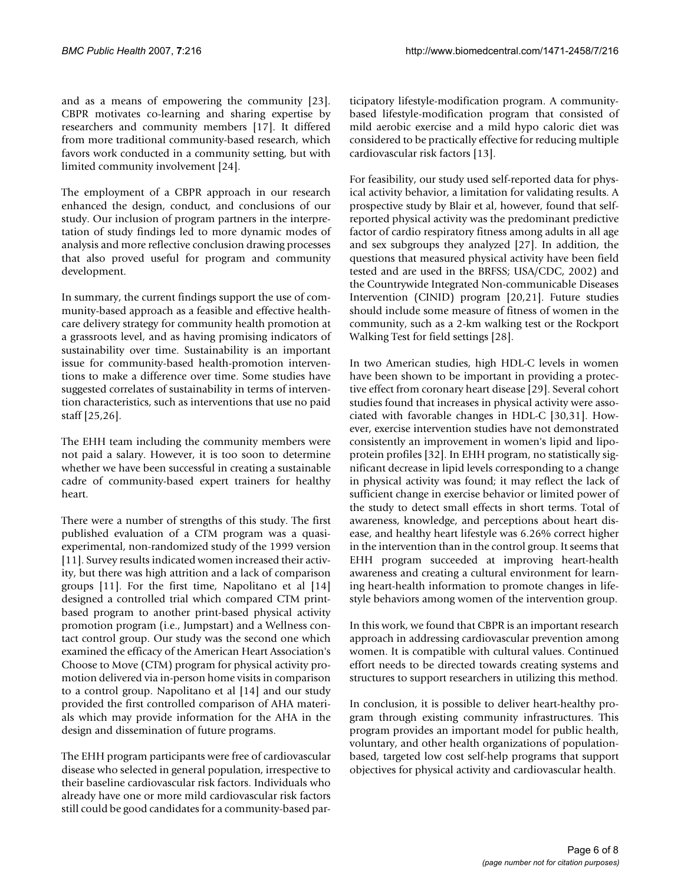and as a means of empowering the community [23]. CBPR motivates co-learning and sharing expertise by researchers and community members [17]. It differed from more traditional community-based research, which favors work conducted in a community setting, but with limited community involvement [24].

The employment of a CBPR approach in our research enhanced the design, conduct, and conclusions of our study. Our inclusion of program partners in the interpretation of study findings led to more dynamic modes of analysis and more reflective conclusion drawing processes that also proved useful for program and community development.

In summary, the current findings support the use of community-based approach as a feasible and effective healthcare delivery strategy for community health promotion at a grassroots level, and as having promising indicators of sustainability over time. Sustainability is an important issue for community-based health-promotion interventions to make a difference over time. Some studies have suggested correlates of sustainability in terms of intervention characteristics, such as interventions that use no paid staff [25,26].

The EHH team including the community members were not paid a salary. However, it is too soon to determine whether we have been successful in creating a sustainable cadre of community-based expert trainers for healthy heart.

There were a number of strengths of this study. The first published evaluation of a CTM program was a quasiexperimental, non-randomized study of the 1999 version [11]. Survey results indicated women increased their activity, but there was high attrition and a lack of comparison groups [11]. For the first time, Napolitano et al [14] designed a controlled trial which compared CTM printbased program to another print-based physical activity promotion program (i.e., Jumpstart) and a Wellness contact control group. Our study was the second one which examined the efficacy of the American Heart Association's Choose to Move (CTM) program for physical activity promotion delivered via in-person home visits in comparison to a control group. Napolitano et al [14] and our study provided the first controlled comparison of AHA materials which may provide information for the AHA in the design and dissemination of future programs.

The EHH program participants were free of cardiovascular disease who selected in general population, irrespective to their baseline cardiovascular risk factors. Individuals who already have one or more mild cardiovascular risk factors still could be good candidates for a community-based participatory lifestyle-modification program. A communitybased lifestyle-modification program that consisted of mild aerobic exercise and a mild hypo caloric diet was considered to be practically effective for reducing multiple cardiovascular risk factors [13].

For feasibility, our study used self-reported data for physical activity behavior, a limitation for validating results. A prospective study by Blair et al, however, found that selfreported physical activity was the predominant predictive factor of cardio respiratory fitness among adults in all age and sex subgroups they analyzed [27]. In addition, the questions that measured physical activity have been field tested and are used in the BRFSS; USA/CDC, 2002) and the Countrywide Integrated Non-communicable Diseases Intervention (CINID) program [20,21]. Future studies should include some measure of fitness of women in the community, such as a 2-km walking test or the Rockport Walking Test for field settings [28].

In two American studies, high HDL-C levels in women have been shown to be important in providing a protective effect from coronary heart disease [29]. Several cohort studies found that increases in physical activity were associated with favorable changes in HDL-C [30,31]. However, exercise intervention studies have not demonstrated consistently an improvement in women's lipid and lipoprotein profiles [32]. In EHH program, no statistically significant decrease in lipid levels corresponding to a change in physical activity was found; it may reflect the lack of sufficient change in exercise behavior or limited power of the study to detect small effects in short terms. Total of awareness, knowledge, and perceptions about heart disease, and healthy heart lifestyle was 6.26% correct higher in the intervention than in the control group. It seems that EHH program succeeded at improving heart-health awareness and creating a cultural environment for learning heart-health information to promote changes in lifestyle behaviors among women of the intervention group.

In this work, we found that CBPR is an important research approach in addressing cardiovascular prevention among women. It is compatible with cultural values. Continued effort needs to be directed towards creating systems and structures to support researchers in utilizing this method.

In conclusion, it is possible to deliver heart-healthy program through existing community infrastructures. This program provides an important model for public health, voluntary, and other health organizations of populationbased, targeted low cost self-help programs that support objectives for physical activity and cardiovascular health.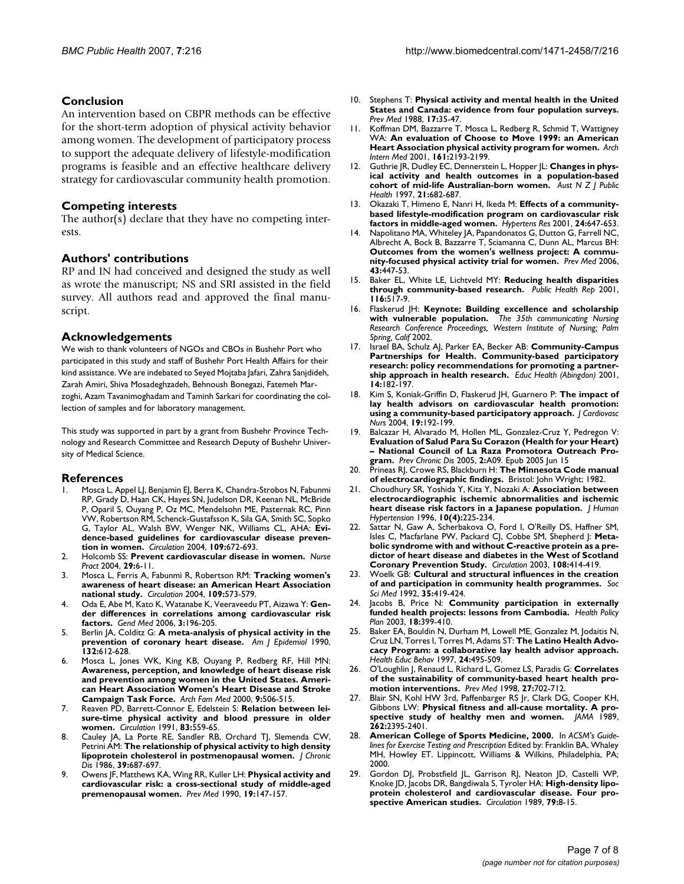#### **Conclusion**

An intervention based on CBPR methods can be effective for the short-term adoption of physical activity behavior among women. The development of participatory process to support the adequate delivery of lifestyle-modification programs is feasible and an effective healthcare delivery strategy for cardiovascular community health promotion.

## **Competing interests**

The author(s) declare that they have no competing interests.

#### **Authors' contributions**

RP and IN had conceived and designed the study as well as wrote the manuscript; NS and SRI assisted in the field survey. All authors read and approved the final manuscript.

#### **Acknowledgements**

We wish to thank volunteers of NGOs and CBOs in Bushehr Port who participated in this study and staff of Bushehr Port Health Affairs for their kind assistance. We are indebated to Seyed Mojtaba Jafari, Zahra Sanjdideh, Zarah Amiri, Shiva Mosadeghzadeh, Behnoush Bonegazi, Fatemeh Marzoghi, Azam Tavanimoghadam and Taminh Sarkari for coordinating the collection of samples and for laboratory management.

This study was supported in part by a grant from Bushehr Province Technology and Research Committee and Research Deputy of Bushehr University of Medical Science.

#### **References**

- Mosca L, Appel LJ, Benjamin EJ, Berra K, Chandra-Strobos N, Fabunmi RP, Grady D, Haan CK, Hayes SN, Judelson DR, Keenan NL, McBride P, Oparil S, Ouyang P, Oz MC, Mendelsohn ME, Pasternak RC, Pinn VW, Robertson RM, Schenck-Gustafsson K, Sila GA, Smith SC, Sopko G, Taylor AL, Walsh BW, Wenger NK, Williams CL, AHA: **[Evi](http://www.ncbi.nlm.nih.gov/entrez/query.fcgi?cmd=Retrieve&db=PubMed&dopt=Abstract&list_uids=14761900)[dence-based guidelines for cardiovascular disease preven](http://www.ncbi.nlm.nih.gov/entrez/query.fcgi?cmd=Retrieve&db=PubMed&dopt=Abstract&list_uids=14761900)[tion in women.](http://www.ncbi.nlm.nih.gov/entrez/query.fcgi?cmd=Retrieve&db=PubMed&dopt=Abstract&list_uids=14761900)** *Circulation* 2004, **109:**672-693.
- 2. Holcomb SS: **Prevent cardiovascular disease in women.** *Nurse Pract* 2004, **29:**6-11.
- 3. Mosca L, Ferris A, Fabunmi R, Robertson RM: **[Tracking women's](http://www.ncbi.nlm.nih.gov/entrez/query.fcgi?cmd=Retrieve&db=PubMed&dopt=Abstract&list_uids=14761901) [awareness of heart disease: an American Heart Association](http://www.ncbi.nlm.nih.gov/entrez/query.fcgi?cmd=Retrieve&db=PubMed&dopt=Abstract&list_uids=14761901) [national study.](http://www.ncbi.nlm.nih.gov/entrez/query.fcgi?cmd=Retrieve&db=PubMed&dopt=Abstract&list_uids=14761901)** *Circulation* 2004, **109:**573-579.
- 4. Oda E, Abe M, Kato K, Watanabe K, Veeraveedu PT, Aizawa Y: **[Gen](http://www.ncbi.nlm.nih.gov/entrez/query.fcgi?cmd=Retrieve&db=PubMed&dopt=Abstract&list_uids=17081953)[der differences in correlations among cardiovascular risk](http://www.ncbi.nlm.nih.gov/entrez/query.fcgi?cmd=Retrieve&db=PubMed&dopt=Abstract&list_uids=17081953) [factors.](http://www.ncbi.nlm.nih.gov/entrez/query.fcgi?cmd=Retrieve&db=PubMed&dopt=Abstract&list_uids=17081953)** *Gend Med* 2006, **3:**196-205.
- 5. Berlin JA, Colditz G: **[A meta-analysis of physical activity in the](http://www.ncbi.nlm.nih.gov/entrez/query.fcgi?cmd=Retrieve&db=PubMed&dopt=Abstract&list_uids=2144946) [prevention of coronary heart disease.](http://www.ncbi.nlm.nih.gov/entrez/query.fcgi?cmd=Retrieve&db=PubMed&dopt=Abstract&list_uids=2144946)** *Am J Epidemiol* 1990, **132:**612-628.
- 6. Mosca L, Jones WK, King KB, Ouyang P, Redberg RF, Hill MN: **Awareness, perception, and knowledge of heart disease risk [and prevention among women in the United States. Ameri](http://www.ncbi.nlm.nih.gov/entrez/query.fcgi?cmd=Retrieve&db=PubMed&dopt=Abstract&list_uids=10862212)can Heart Association Women's Heart Disease and Stroke [Campaign Task Force.](http://www.ncbi.nlm.nih.gov/entrez/query.fcgi?cmd=Retrieve&db=PubMed&dopt=Abstract&list_uids=10862212)** *Arch Fam Med* 2000, **9:**506-515.
- 7. Reaven PD, Barrett-Connor E, Edelstein S: **[Relation between lei](http://www.ncbi.nlm.nih.gov/entrez/query.fcgi?cmd=Retrieve&db=PubMed&dopt=Abstract&list_uids=1991374)[sure-time physical activity and blood pressure in older](http://www.ncbi.nlm.nih.gov/entrez/query.fcgi?cmd=Retrieve&db=PubMed&dopt=Abstract&list_uids=1991374) [women.](http://www.ncbi.nlm.nih.gov/entrez/query.fcgi?cmd=Retrieve&db=PubMed&dopt=Abstract&list_uids=1991374)** *Circulation* 1991, **83:**559-65.
- 8. Cauley JA, La Porte RE, Sandler RB, Orchard TJ, Slemenda CW, Petrini AM: **[The relationship of physical activity to high density](http://www.ncbi.nlm.nih.gov/entrez/query.fcgi?cmd=Retrieve&db=PubMed&dopt=Abstract&list_uids=3525598) [lipoprotein cholesterol in postmenopausal women.](http://www.ncbi.nlm.nih.gov/entrez/query.fcgi?cmd=Retrieve&db=PubMed&dopt=Abstract&list_uids=3525598)** *J Chronic Dis* 1986, **39:**687-697.
- 9. Owens JF, Matthews KA, Wing RR, Kuller LH: **[Physical activity and](http://www.ncbi.nlm.nih.gov/entrez/query.fcgi?cmd=Retrieve&db=PubMed&dopt=Abstract&list_uids=2359739) [cardiovascular risk: a cross-sectional study of middle-aged](http://www.ncbi.nlm.nih.gov/entrez/query.fcgi?cmd=Retrieve&db=PubMed&dopt=Abstract&list_uids=2359739) [premenopausal women.](http://www.ncbi.nlm.nih.gov/entrez/query.fcgi?cmd=Retrieve&db=PubMed&dopt=Abstract&list_uids=2359739)** *Prev Med* 1990, **19:**147-157.
- 10. Stephens T: **[Physical activity and mental health in the United](http://www.ncbi.nlm.nih.gov/entrez/query.fcgi?cmd=Retrieve&db=PubMed&dopt=Abstract&list_uids=3258986) [States and Canada: evidence from four population surveys.](http://www.ncbi.nlm.nih.gov/entrez/query.fcgi?cmd=Retrieve&db=PubMed&dopt=Abstract&list_uids=3258986)** *Prev Med* 1988, **17:**35-47.
- 11. Koffman DM, Bazzarre T, Mosca L, Redberg R, Schmid T, Wattigney WA: **[An evaluation of Choose to Move 1999: an American](http://www.ncbi.nlm.nih.gov/entrez/query.fcgi?cmd=Retrieve&db=PubMed&dopt=Abstract&list_uids=11575975) [Heart Association physical activity program for women.](http://www.ncbi.nlm.nih.gov/entrez/query.fcgi?cmd=Retrieve&db=PubMed&dopt=Abstract&list_uids=11575975)** *Arch Intern Med* 2001, **161:**2193-2199.
- 12. Guthrie JR, Dudley EC, Dennerstein L, Hopper JL: **[Changes in phys](http://www.ncbi.nlm.nih.gov/entrez/query.fcgi?cmd=Retrieve&db=PubMed&dopt=Abstract&list_uids=9489182)[ical activity and health outcomes in a population-based](http://www.ncbi.nlm.nih.gov/entrez/query.fcgi?cmd=Retrieve&db=PubMed&dopt=Abstract&list_uids=9489182) [cohort of mid-life Australian-born women.](http://www.ncbi.nlm.nih.gov/entrez/query.fcgi?cmd=Retrieve&db=PubMed&dopt=Abstract&list_uids=9489182)** *Aust N Z J Public Health* 1997, **21:**682-687.
- 13. Okazaki T, Himeno E, Nanri H, Ikeda M: **[Effects of a community](http://www.ncbi.nlm.nih.gov/entrez/query.fcgi?cmd=Retrieve&db=PubMed&dopt=Abstract&list_uids=11768723)[based lifestyle-modification program on cardiovascular risk](http://www.ncbi.nlm.nih.gov/entrez/query.fcgi?cmd=Retrieve&db=PubMed&dopt=Abstract&list_uids=11768723) [factors in middle-aged women.](http://www.ncbi.nlm.nih.gov/entrez/query.fcgi?cmd=Retrieve&db=PubMed&dopt=Abstract&list_uids=11768723)** *Hypertens Res* 2001, **24:**647-653.
- 14. Napolitano MA, Whiteley JA, Papandonatos G, Dutton G, Farrell NC, Albrecht A, Bock B, Bazzarre T, Sciamanna C, Dunn AL, Marcus BH: **[Outcomes from the women's wellness project: A commu](http://www.ncbi.nlm.nih.gov/entrez/query.fcgi?cmd=Retrieve&db=PubMed&dopt=Abstract&list_uids=16919322)[nity-focused physical activity trial for women.](http://www.ncbi.nlm.nih.gov/entrez/query.fcgi?cmd=Retrieve&db=PubMed&dopt=Abstract&list_uids=16919322)** *Prev Med* 2006, **43:**447-53.
- 15. Baker EL, White LE, Lichtveld MY: **[Reducing health disparities](http://www.ncbi.nlm.nih.gov/entrez/query.fcgi?cmd=Retrieve&db=PubMed&dopt=Abstract&list_uids=12196610) [through community-based research.](http://www.ncbi.nlm.nih.gov/entrez/query.fcgi?cmd=Retrieve&db=PubMed&dopt=Abstract&list_uids=12196610)** *Public Health Rep* 2001, **116:**517-9.
- 16. Flaskerud JH: **Keynote: Building excellence and scholarship with vulnerable population.** *The 35th communicating Nursing Research Conference Proceedings, Western Institute of Nursing; Palm Spring, Calif* 2002.
- 17. Israel BA, Schulz AJ, Parker EA, Becker AB: **[Community-Campus](http://www.ncbi.nlm.nih.gov/entrez/query.fcgi?cmd=Retrieve&db=PubMed&dopt=Abstract&list_uids=14742017) Partnerships for Health. Community-based participatory [research: policy recommendations for promoting a partner](http://www.ncbi.nlm.nih.gov/entrez/query.fcgi?cmd=Retrieve&db=PubMed&dopt=Abstract&list_uids=14742017)[ship approach in health research.](http://www.ncbi.nlm.nih.gov/entrez/query.fcgi?cmd=Retrieve&db=PubMed&dopt=Abstract&list_uids=14742017)** *Educ Health (Abingdon)* 2001, **14:**182-197.
- 18. Kim S, Koniak-Griffin D, Flaskerud JH, Guarnero P: **[The impact of](http://www.ncbi.nlm.nih.gov/entrez/query.fcgi?cmd=Retrieve&db=PubMed&dopt=Abstract&list_uids=15191262) [lay health advisors on cardiovascular health promotion:](http://www.ncbi.nlm.nih.gov/entrez/query.fcgi?cmd=Retrieve&db=PubMed&dopt=Abstract&list_uids=15191262) [using a community-based participatory approach.](http://www.ncbi.nlm.nih.gov/entrez/query.fcgi?cmd=Retrieve&db=PubMed&dopt=Abstract&list_uids=15191262)** *J Cardiovasc Nurs* 2004, **19:**192-199.
- 19. Balcazar H, Alvarado M, Hollen ML, Gonzalez-Cruz Y, Pedregon V: **Evaluation of Salud Para Su Corazon (Health for your Heart) [– National Council of La Raza Promotora Outreach Pro](http://www.ncbi.nlm.nih.gov/entrez/query.fcgi?cmd=Retrieve&db=PubMed&dopt=Abstract&list_uids=15963311)[gram.](http://www.ncbi.nlm.nih.gov/entrez/query.fcgi?cmd=Retrieve&db=PubMed&dopt=Abstract&list_uids=15963311)** *Prev Chronic Dis* 2005, **2:**A09. Epub 2005 Jun 15
- 20. Prineas RJ, Crowe RS, Blackburn H: **The Minnesota Code manual of electrocardiographic findings.** Bristol: John Wright; 1982.
- 21. Choudhury SR, Yoshida Y, Kita Y, Nozaki A: **Association between electrocardiographic ischemic abnormalities and ischemic heart disease risk factors in a Japanese population.** *J Human Hypertension* 1996, **10(4):**225-234.
- Sattar N, Gaw A, Scherbakova O, Ford I, O'Reilly DS, Haffner SM, Isles C, Macfarlane PW, Packard CJ, Cobbe SM, Shepherd J: **[Meta](http://www.ncbi.nlm.nih.gov/entrez/query.fcgi?cmd=Retrieve&db=PubMed&dopt=Abstract&list_uids=12860911)bolic syndrome with and without C-reactive protein as a pre[dictor of heart disease and diabetes in the West of Scotland](http://www.ncbi.nlm.nih.gov/entrez/query.fcgi?cmd=Retrieve&db=PubMed&dopt=Abstract&list_uids=12860911) [Coronary Prevention Study.](http://www.ncbi.nlm.nih.gov/entrez/query.fcgi?cmd=Retrieve&db=PubMed&dopt=Abstract&list_uids=12860911)** *Circulation* 2003, **108:**414-419.
- 23. Woelk GB: **[Cultural and structural influences in the creation](http://www.ncbi.nlm.nih.gov/entrez/query.fcgi?cmd=Retrieve&db=PubMed&dopt=Abstract&list_uids=1519094) [of and participation in community health programmes.](http://www.ncbi.nlm.nih.gov/entrez/query.fcgi?cmd=Retrieve&db=PubMed&dopt=Abstract&list_uids=1519094)** *Soc Sci Med* 1992, **35:**419-424.
- 24. Jacobs B, Price N: **[Community participation in externally](http://www.ncbi.nlm.nih.gov/entrez/query.fcgi?cmd=Retrieve&db=PubMed&dopt=Abstract&list_uids=14654516) [funded health projects: lessons from Cambodia.](http://www.ncbi.nlm.nih.gov/entrez/query.fcgi?cmd=Retrieve&db=PubMed&dopt=Abstract&list_uids=14654516)** *Health Policy Plan* 2003, **18:**399-410.
- 25. Baker EA, Bouldin N, Durham M, Lowell ME, Gonzalez M, Jodaitis N, Cruz LN, Torres I, Torres M, Adams ST: **[The Latino Health Advo](http://www.ncbi.nlm.nih.gov/entrez/query.fcgi?cmd=Retrieve&db=PubMed&dopt=Abstract&list_uids=9247827)[cacy Program: a collaborative lay health advisor approach.](http://www.ncbi.nlm.nih.gov/entrez/query.fcgi?cmd=Retrieve&db=PubMed&dopt=Abstract&list_uids=9247827)** *Health Educ Behav* 1997, **24:**495-509.
- 26. O'Loughlin J, Renaud L, Richard L, Gomez LS, Paradis G: **[Correlates](http://www.ncbi.nlm.nih.gov/entrez/query.fcgi?cmd=Retrieve&db=PubMed&dopt=Abstract&list_uids=9808802) [of the sustainability of community-based heart health pro](http://www.ncbi.nlm.nih.gov/entrez/query.fcgi?cmd=Retrieve&db=PubMed&dopt=Abstract&list_uids=9808802)[motion interventions.](http://www.ncbi.nlm.nih.gov/entrez/query.fcgi?cmd=Retrieve&db=PubMed&dopt=Abstract&list_uids=9808802)** *Prev Med* 1998, **27:**702-712.
- 27. Blair SN, Kohl HW 3rd, Paffenbarger RS Jr, Clark DG, Cooper KH, Gibbons LW: **[Physical fitness and all-cause mortality. A pro](http://www.ncbi.nlm.nih.gov/entrez/query.fcgi?cmd=Retrieve&db=PubMed&dopt=Abstract&list_uids=2795824)[spective study of healthy men and women.](http://www.ncbi.nlm.nih.gov/entrez/query.fcgi?cmd=Retrieve&db=PubMed&dopt=Abstract&list_uids=2795824)** *JAMA* 1989, **262:**2395-2401.
- 28. **American College of Sports Medicine, 2000.** In *ACSM's Guidelines for Exercise Testing and Prescription* Edited by: Franklin BA, Whaley MH, Howley ET. Lippincott, Williams & Wilkins, Philadelphia, PA; 2000.
- 29. Gordon DJ, Probstfield JL, Garrison RJ, Neaton JD, Castelli WP, Knoke JD, Jacobs DR, Bangdiwala S, Tyroler HA: **[High-density lipo](http://www.ncbi.nlm.nih.gov/entrez/query.fcgi?cmd=Retrieve&db=PubMed&dopt=Abstract&list_uids=2642759)[protein cholesterol and cardiovascular disease. Four pro](http://www.ncbi.nlm.nih.gov/entrez/query.fcgi?cmd=Retrieve&db=PubMed&dopt=Abstract&list_uids=2642759)[spective American studies.](http://www.ncbi.nlm.nih.gov/entrez/query.fcgi?cmd=Retrieve&db=PubMed&dopt=Abstract&list_uids=2642759)** *Circulation* 1989, **79:**8-15.